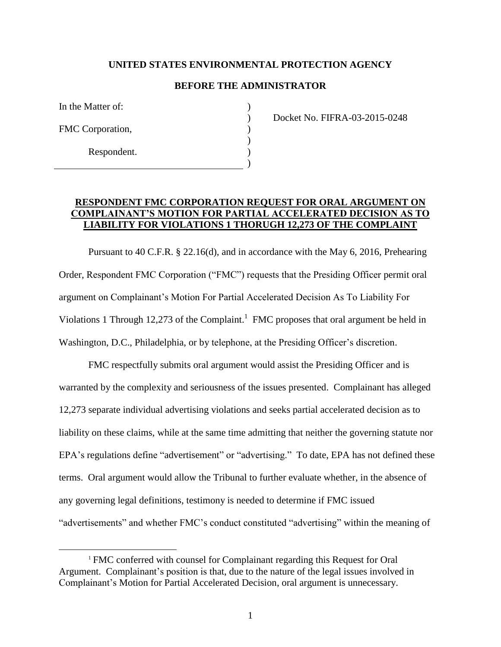## **UNITED STATES ENVIRONMENTAL PROTECTION AGENCY**

## **BEFORE THE ADMINISTRATOR**

 $\lambda$  $\lambda$  $\mathcal{L}$  $\lambda$ ) )

In the Matter of:

FMC Corporation,

 $\overline{a}$ 

Respondent.

Docket No. FIFRA-03-2015-0248

## **RESPONDENT FMC CORPORATION REQUEST FOR ORAL ARGUMENT ON COMPLAINANT'S MOTION FOR PARTIAL ACCELERATED DECISION AS TO LIABILITY FOR VIOLATIONS 1 THORUGH 12,273 OF THE COMPLAINT**

Pursuant to 40 C.F.R. § 22.16(d), and in accordance with the May 6, 2016, Prehearing Order, Respondent FMC Corporation ("FMC") requests that the Presiding Officer permit oral argument on Complainant's Motion For Partial Accelerated Decision As To Liability For Violations 1 Through 12,273 of the Complaint.<sup>1</sup> FMC proposes that oral argument be held in Washington, D.C., Philadelphia, or by telephone, at the Presiding Officer's discretion.

FMC respectfully submits oral argument would assist the Presiding Officer and is warranted by the complexity and seriousness of the issues presented. Complainant has alleged 12,273 separate individual advertising violations and seeks partial accelerated decision as to liability on these claims, while at the same time admitting that neither the governing statute nor EPA's regulations define "advertisement" or "advertising." To date, EPA has not defined these terms. Oral argument would allow the Tribunal to further evaluate whether, in the absence of any governing legal definitions, testimony is needed to determine if FMC issued "advertisements" and whether FMC's conduct constituted "advertising" within the meaning of

<sup>&</sup>lt;sup>1</sup> FMC conferred with counsel for Complainant regarding this Request for Oral Argument. Complainant's position is that, due to the nature of the legal issues involved in Complainant's Motion for Partial Accelerated Decision, oral argument is unnecessary.